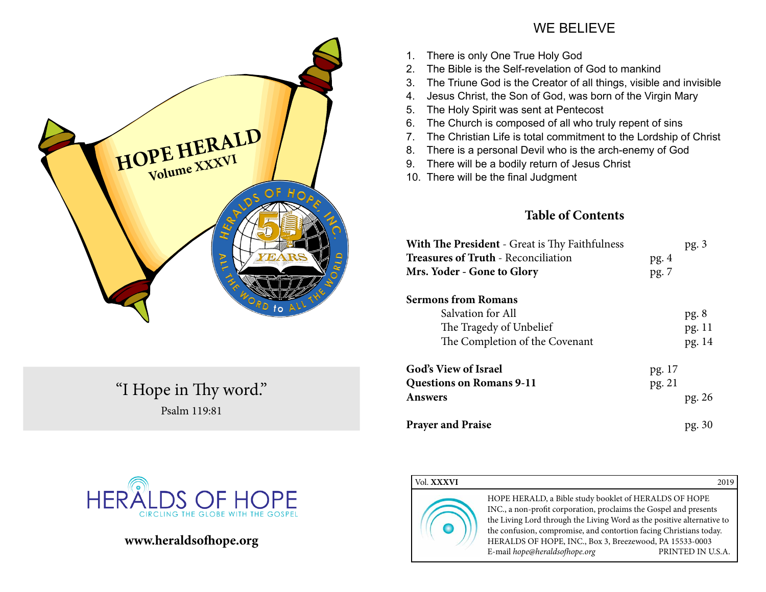

"I Hope in Thy word." Psalm 119:81



# **www.heraldsofhope.org**

# WE BELIEVE

- 1. There is only One True Holy God
- 2. The Bible is the Self-revelation of God to mankind
- 3. The Triune God is the Creator of all things, visible and invisible
- 4. Jesus Christ, the Son of God, was born of the Virgin Mary
- 5. The Holy Spirit was sent at Pentecost
- 6. The Church is composed of all who truly repent of sins
- 7. The Christian Life is total commitment to the Lordship of Christ
- 8. There is a personal Devil who is the arch-enemy of God
- 9. There will be a bodily return of Jesus Christ
- 10. There will be the final Judgment

# **Table of Contents**

| <b>With The President</b> - Great is Thy Faithfulness<br><b>Treasures of Truth - Reconciliation</b><br>Mrs. Yoder - Gone to Glory | pg.4<br>pg. 7    | pg.3                     |
|-----------------------------------------------------------------------------------------------------------------------------------|------------------|--------------------------|
| <b>Sermons from Romans</b><br>Salvation for All<br>The Tragedy of Unbelief<br>The Completion of the Covenant                      |                  | pg.8<br>pg. 11<br>pg. 14 |
| <b>God's View of Israel</b><br><b>Questions on Romans 9-11</b><br><b>Answers</b>                                                  | pg. 17<br>pg. 21 | pg. 26                   |
| <b>Prayer and Praise</b>                                                                                                          |                  | pg. 30                   |

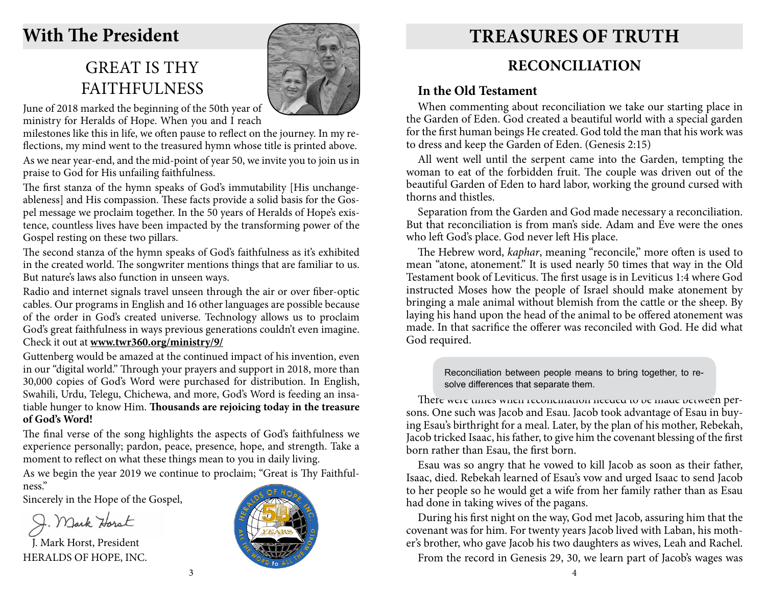# **With The President**

# GREAT IS THY **FAITHFULNESS**



June of 2018 marked the beginning of the 50th year of ministry for Heralds of Hope. When you and I reach

milestones like this in life, we often pause to reflect on the journey. In my reflections, my mind went to the treasured hymn whose title is printed above. As we near year-end, and the mid-point of year 50, we invite you to join us in praise to God for His unfailing faithfulness.

The first stanza of the hymn speaks of God's immutability [His unchangeableness] and His compassion. These facts provide a solid basis for the Gospel message we proclaim together. In the 50 years of Heralds of Hope's existence, countless lives have been impacted by the transforming power of the Gospel resting on these two pillars.

The second stanza of the hymn speaks of God's faithfulness as it's exhibited in the created world. The songwriter mentions things that are familiar to us. But nature's laws also function in unseen ways.

Radio and internet signals travel unseen through the air or over fiber-optic cables. Our programs in English and 16 other languages are possible because of the order in God's created universe. Technology allows us to proclaim God's great faithfulness in ways previous generations couldn't even imagine. Check it out at **www.twr360.org/ministry/9/**

Guttenberg would be amazed at the continued impact of his invention, even in our "digital world." Through your prayers and support in 2018, more than 30,000 copies of God's Word were purchased for distribution. In English, Swahili, Urdu, Telegu, Chichewa, and more, God's Word is feeding an insatiable hunger to know Him. **Thousands are rejoicing today in the treasure of God's Word!** 

The final verse of the song highlights the aspects of God's faithfulness we experience personally; pardon, peace, presence, hope, and strength. Take a moment to reflect on what these things mean to you in daily living.

As we begin the year 2019 we continue to proclaim; "Great is Thy Faithfulness."

Sincerely in the Hope of the Gospel,

J. Mark Harst

J. Mark Horst, President HERALDS OF HOPE, INC.



# **Treasures of Truth**

# **RECONCILIATION**

# **In the Old Testament**

When commenting about reconciliation we take our starting place in the Garden of Eden. God created a beautiful world with a special garden for the first human beings He created. God told the man that his work was to dress and keep the Garden of Eden. (Genesis 2:15)

All went well until the serpent came into the Garden, tempting the woman to eat of the forbidden fruit. The couple was driven out of the beautiful Garden of Eden to hard labor, working the ground cursed with thorns and thistles.

Separation from the Garden and God made necessary a reconciliation. But that reconciliation is from man's side. Adam and Eve were the ones who left God's place. God never left His place.

The Hebrew word, *kaphar*, meaning "reconcile," more often is used to mean "atone, atonement." It is used nearly 50 times that way in the Old Testament book of Leviticus. The first usage is in Leviticus 1:4 where God instructed Moses how the people of Israel should make atonement by bringing a male animal without blemish from the cattle or the sheep. By laying his hand upon the head of the animal to be offered atonement was made. In that sacrifice the offerer was reconciled with God. He did what God required.

> Reconciliation between people means to bring together, to resolve differences that separate them.

There were times when reconciliation needed to be made between persons. One such was Jacob and Esau. Jacob took advantage of Esau in buying Esau's birthright for a meal. Later, by the plan of his mother, Rebekah, Jacob tricked Isaac, his father, to give him the covenant blessing of the first born rather than Esau, the first born.

Esau was so angry that he vowed to kill Jacob as soon as their father, Isaac, died. Rebekah learned of Esau's vow and urged Isaac to send Jacob to her people so he would get a wife from her family rather than as Esau had done in taking wives of the pagans.

During his first night on the way, God met Jacob, assuring him that the covenant was for him. For twenty years Jacob lived with Laban, his mother's brother, who gave Jacob his two daughters as wives, Leah and Rachel.

From the record in Genesis 29, 30, we learn part of Jacob's wages was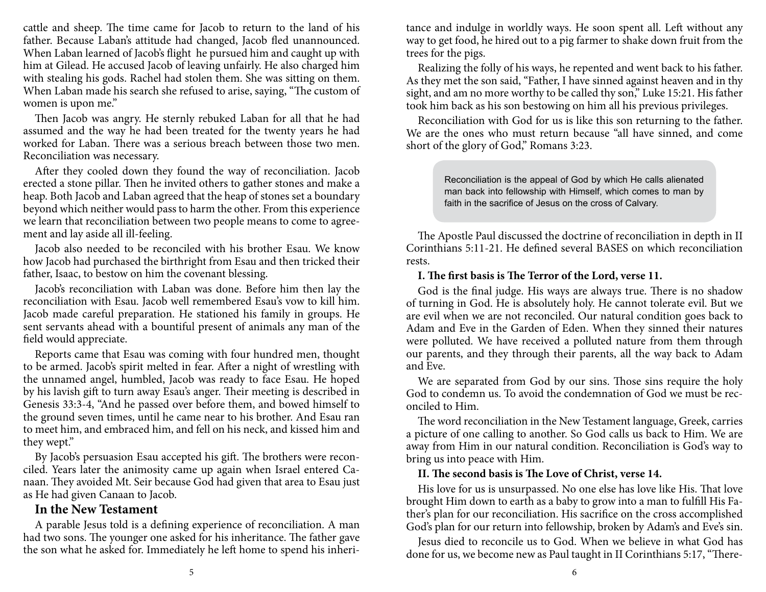cattle and sheep. The time came for Jacob to return to the land of his father. Because Laban's attitude had changed, Jacob fled unannounced. When Laban learned of Jacob's flight he pursued him and caught up with him at Gilead. He accused Jacob of leaving unfairly. He also charged him with stealing his gods. Rachel had stolen them. She was sitting on them. When Laban made his search she refused to arise, saying, "The custom of women is upon me."

Then Jacob was angry. He sternly rebuked Laban for all that he had assumed and the way he had been treated for the twenty years he had worked for Laban. There was a serious breach between those two men. Reconciliation was necessary.

After they cooled down they found the way of reconciliation. Jacob erected a stone pillar. Then he invited others to gather stones and make a heap. Both Jacob and Laban agreed that the heap of stones set a boundary beyond which neither would pass to harm the other. From this experience we learn that reconciliation between two people means to come to agreement and lay aside all ill-feeling.

Jacob also needed to be reconciled with his brother Esau. We know how Jacob had purchased the birthright from Esau and then tricked their father, Isaac, to bestow on him the covenant blessing.

Jacob's reconciliation with Laban was done. Before him then lay the reconciliation with Esau. Jacob well remembered Esau's vow to kill him. Jacob made careful preparation. He stationed his family in groups. He sent servants ahead with a bountiful present of animals any man of the field would appreciate.

Reports came that Esau was coming with four hundred men, thought to be armed. Jacob's spirit melted in fear. After a night of wrestling with the unnamed angel, humbled, Jacob was ready to face Esau. He hoped by his lavish gift to turn away Esau's anger. Their meeting is described in Genesis 33:3-4, "And he passed over before them, and bowed himself to the ground seven times, until he came near to his brother. And Esau ran to meet him, and embraced him, and fell on his neck, and kissed him and they wept."

By Jacob's persuasion Esau accepted his gift. The brothers were reconciled. Years later the animosity came up again when Israel entered Canaan. They avoided Mt. Seir because God had given that area to Esau just as He had given Canaan to Jacob.

# **In the New Testament**

A parable Jesus told is a defining experience of reconciliation. A man had two sons. The younger one asked for his inheritance. The father gave the son what he asked for. Immediately he left home to spend his inheritance and indulge in worldly ways. He soon spent all. Left without any way to get food, he hired out to a pig farmer to shake down fruit from the trees for the pigs.

Realizing the folly of his ways, he repented and went back to his father. As they met the son said, "Father, I have sinned against heaven and in thy sight, and am no more worthy to be called thy son," Luke 15:21. His father took him back as his son bestowing on him all his previous privileges.

Reconciliation with God for us is like this son returning to the father. We are the ones who must return because "all have sinned, and come short of the glory of God," Romans 3:23.

> Reconciliation is the appeal of God by which He calls alienated man back into fellowship with Himself, which comes to man by faith in the sacrifice of Jesus on the cross of Calvary.

The Apostle Paul discussed the doctrine of reconciliation in depth in II Corinthians 5:11-21. He defined several BASES on which reconciliation rests.

## **I. The first basis is The Terror of the Lord, verse 11.**

God is the final judge. His ways are always true. There is no shadow of turning in God. He is absolutely holy. He cannot tolerate evil. But we are evil when we are not reconciled. Our natural condition goes back to Adam and Eve in the Garden of Eden. When they sinned their natures were polluted. We have received a polluted nature from them through our parents, and they through their parents, all the way back to Adam and Eve.

We are separated from God by our sins. Those sins require the holy God to condemn us. To avoid the condemnation of God we must be reconciled to Him.

The word reconciliation in the New Testament language, Greek, carries a picture of one calling to another. So God calls us back to Him. We are away from Him in our natural condition. Reconciliation is God's way to bring us into peace with Him.

### **II. The second basis is The Love of Christ, verse 14.**

His love for us is unsurpassed. No one else has love like His. That love brought Him down to earth as a baby to grow into a man to fulfill His Father's plan for our reconciliation. His sacrifice on the cross accomplished God's plan for our return into fellowship, broken by Adam's and Eve's sin.

Jesus died to reconcile us to God. When we believe in what God has done for us, we become new as Paul taught in II Corinthians 5:17, "There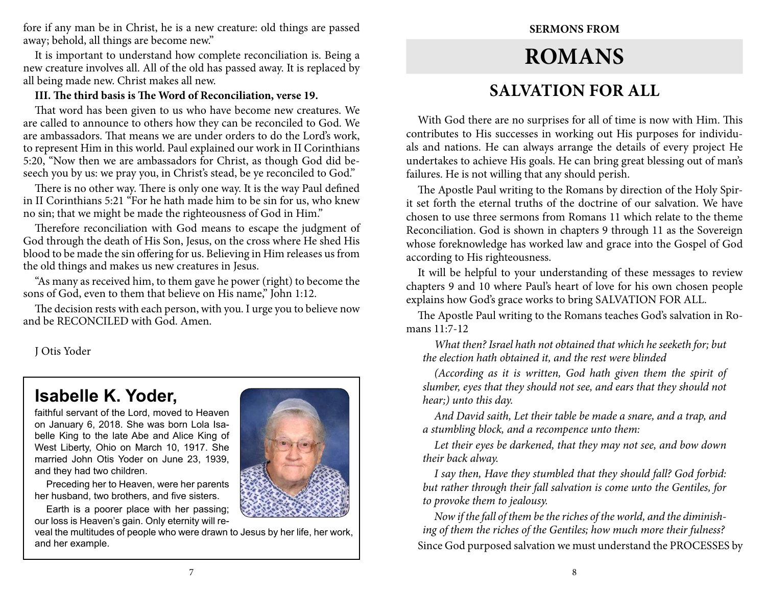fore if any man be in Christ, he is a new creature: old things are passed away; behold, all things are become new."

It is important to understand how complete reconciliation is. Being a new creature involves all. All of the old has passed away. It is replaced by all being made new. Christ makes all new.

## **III. The third basis is The Word of Reconciliation, verse 19.**

That word has been given to us who have become new creatures. We are called to announce to others how they can be reconciled to God. We are ambassadors. That means we are under orders to do the Lord's work, to represent Him in this world. Paul explained our work in II Corinthians 5:20, "Now then we are ambassadors for Christ, as though God did beseech you by us: we pray you, in Christ's stead, be ye reconciled to God."

There is no other way. There is only one way. It is the way Paul defined in II Corinthians 5:21 "For he hath made him to be sin for us, who knew no sin; that we might be made the righteousness of God in Him."

Therefore reconciliation with God means to escape the judgment of God through the death of His Son, Jesus, on the cross where He shed His blood to be made the sin offering for us. Believing in Him releases us from the old things and makes us new creatures in Jesus.

"As many as received him, to them gave he power (right) to become the sons of God, even to them that believe on His name," John 1:12.

The decision rests with each person, with you. I urge you to believe now and be RECONCILED with God. Amen.

J Otis Yoder

# **Isabelle K. Yoder,**

faithful servant of the Lord, moved to Heaven on January 6, 2018. She was born Lola Isabelle King to the late Abe and Alice King of West Liberty, Ohio on March 10, 1917. She married John Otis Yoder on June 23, 1939, and they had two children.

Preceding her to Heaven, were her parents her husband, two brothers, and five sisters.

Earth is a poorer place with her passing; our loss is Heaven's gain. Only eternity will re-

veal the multitudes of people who were drawn to Jesus by her life, her work, and her example.



# **Sermons from Romans SALVATION FOR ALL**

With God there are no surprises for all of time is now with Him. This contributes to His successes in working out His purposes for individuals and nations. He can always arrange the details of every project He undertakes to achieve His goals. He can bring great blessing out of man's failures. He is not willing that any should perish.

The Apostle Paul writing to the Romans by direction of the Holy Spirit set forth the eternal truths of the doctrine of our salvation. We have chosen to use three sermons from Romans 11 which relate to the theme Reconciliation. God is shown in chapters 9 through 11 as the Sovereign whose foreknowledge has worked law and grace into the Gospel of God according to His righteousness.

It will be helpful to your understanding of these messages to review chapters 9 and 10 where Paul's heart of love for his own chosen people explains how God's grace works to bring SALVATION FOR ALL.

The Apostle Paul writing to the Romans teaches God's salvation in Romans 11:7-12

*What then? Israel hath not obtained that which he seeketh for; but the election hath obtained it, and the rest were blinded*

*(According as it is written, God hath given them the spirit of slumber, eyes that they should not see, and ears that they should not hear;) unto this day.*

*And David saith, Let their table be made a snare, and a trap, and a stumbling block, and a recompence unto them:*

*Let their eyes be darkened, that they may not see, and bow down their back alway.*

*I say then, Have they stumbled that they should fall? God forbid: but rather through their fall salvation is come unto the Gentiles, for to provoke them to jealousy.*

*Now if the fall of them be the riches of the world, and the diminishing of them the riches of the Gentiles; how much more their fulness?* Since God purposed salvation we must understand the PROCESSES by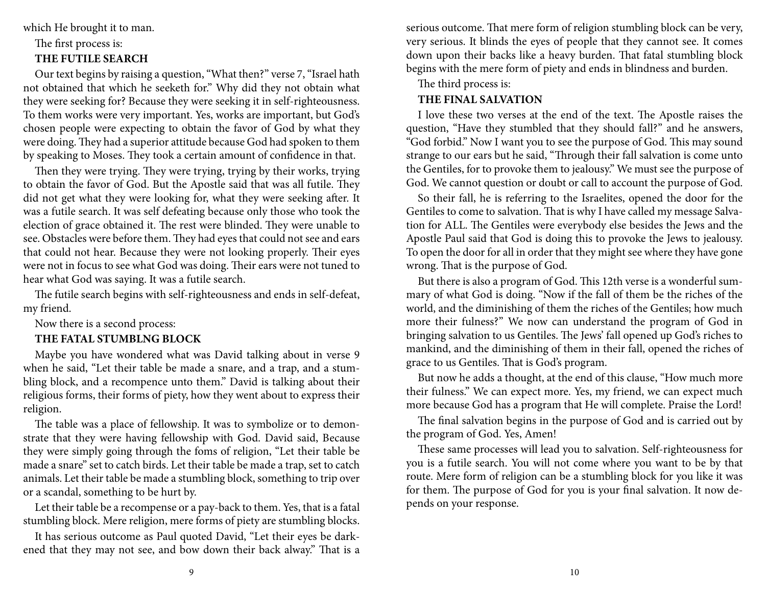which He brought it to man.

# The first process is:

# **THE FUTILE SEARCH**

Our text begins by raising a question, "What then?" verse 7, "Israel hath not obtained that which he seeketh for." Why did they not obtain what they were seeking for? Because they were seeking it in self-righteousness. To them works were very important. Yes, works are important, but God's chosen people were expecting to obtain the favor of God by what they were doing. They had a superior attitude because God had spoken to them by speaking to Moses. They took a certain amount of confidence in that.

Then they were trying. They were trying, trying by their works, trying to obtain the favor of God. But the Apostle said that was all futile. They did not get what they were looking for, what they were seeking after. It was a futile search. It was self defeating because only those who took the election of grace obtained it. The rest were blinded. They were unable to see. Obstacles were before them. They had eyes that could not see and ears that could not hear. Because they were not looking properly. Their eyes were not in focus to see what God was doing. Their ears were not tuned to hear what God was saying. It was a futile search.

The futile search begins with self-righteousness and ends in self-defeat, my friend.

## Now there is a second process:

## **THE FATAL STUMBLNG BLOCK**

Maybe you have wondered what was David talking about in verse 9 when he said, "Let their table be made a snare, and a trap, and a stumbling block, and a recompence unto them." David is talking about their religious forms, their forms of piety, how they went about to express their religion.

The table was a place of fellowship. It was to symbolize or to demonstrate that they were having fellowship with God. David said, Because they were simply going through the foms of religion, "Let their table be made a snare" set to catch birds. Let their table be made a trap, set to catch animals. Let their table be made a stumbling block, something to trip over or a scandal, something to be hurt by.

Let their table be a recompense or a pay-back to them. Yes, that is a fatal stumbling block. Mere religion, mere forms of piety are stumbling blocks.

It has serious outcome as Paul quoted David, "Let their eyes be darkened that they may not see, and bow down their back alway." That is a serious outcome. That mere form of religion stumbling block can be very, very serious. It blinds the eyes of people that they cannot see. It comes down upon their backs like a heavy burden. That fatal stumbling block begins with the mere form of piety and ends in blindness and burden.

## The third process is:

## **THE FINAL SALVATION**

I love these two verses at the end of the text. The Apostle raises the question, "Have they stumbled that they should fall?" and he answers, "God forbid." Now I want you to see the purpose of God. This may sound strange to our ears but he said, "Through their fall salvation is come unto the Gentiles, for to provoke them to jealousy." We must see the purpose of God. We cannot question or doubt or call to account the purpose of God.

So their fall, he is referring to the Israelites, opened the door for the Gentiles to come to salvation. That is why I have called my message Salvation for ALL. The Gentiles were everybody else besides the Jews and the Apostle Paul said that God is doing this to provoke the Jews to jealousy. To open the door for all in order that they might see where they have gone wrong. That is the purpose of God.

But there is also a program of God. This 12th verse is a wonderful summary of what God is doing. "Now if the fall of them be the riches of the world, and the diminishing of them the riches of the Gentiles; how much more their fulness?" We now can understand the program of God in bringing salvation to us Gentiles. The Jews' fall opened up God's riches to mankind, and the diminishing of them in their fall, opened the riches of grace to us Gentiles. That is God's program.

But now he adds a thought, at the end of this clause, "How much more their fulness." We can expect more. Yes, my friend, we can expect much more because God has a program that He will complete. Praise the Lord!

The final salvation begins in the purpose of God and is carried out by the program of God. Yes, Amen!

These same processes will lead you to salvation. Self-righteousness for you is a futile search. You will not come where you want to be by that route. Mere form of religion can be a stumbling block for you like it was for them. The purpose of God for you is your final salvation. It now depends on your response.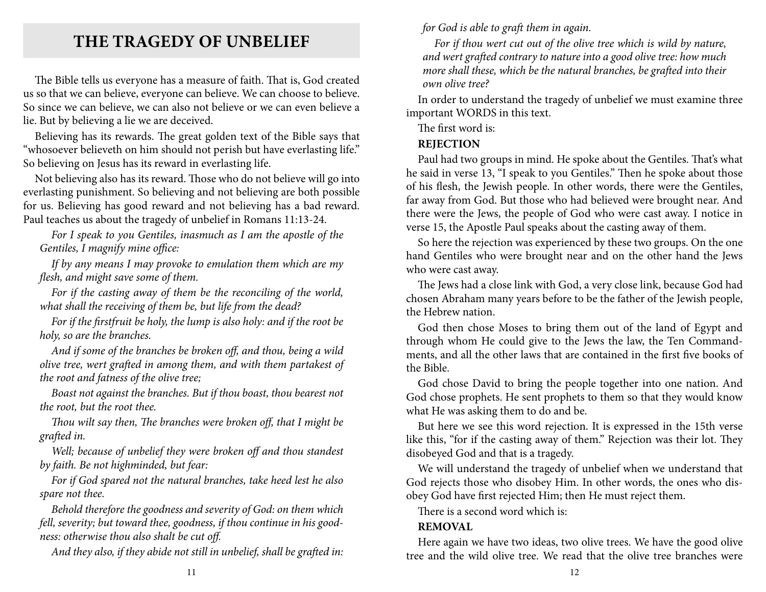# **THE TRAGEDY OF UNBELIEF**

The Bible tells us everyone has a measure of faith. That is, God created us so that we can believe, everyone can believe. We can choose to believe. So since we can believe, we can also not believe or we can even believe a lie. But by believing a lie we are deceived.

Believing has its rewards. The great golden text of the Bible says that "whosoever believeth on him should not perish but have everlasting life." So believing on Jesus has its reward in everlasting life.

Not believing also has its reward. Those who do not believe will go into everlasting punishment. So believing and not believing are both possible for us. Believing has good reward and not believing has a bad reward. Paul teaches us about the tragedy of unbelief in Romans 11:13-24.

*For I speak to you Gentiles, inasmuch as I am the apostle of the Gentiles, I magnify mine office:*

*If by any means I may provoke to emulation them which are my flesh, and might save some of them.*

*For if the casting away of them be the reconciling of the world, what shall the receiving of them be, but life from the dead?*

*For if the firstfruit be holy, the lump is also holy: and if the root be holy, so are the branches.*

*And if some of the branches be broken off, and thou, being a wild olive tree, wert grafted in among them, and with them partakest of the root and fatness of the olive tree;*

*Boast not against the branches. But if thou boast, thou bearest not the root, but the root thee.*

*Thou wilt say then, The branches were broken off, that I might be grafted in.*

*Well; because of unbelief they were broken off and thou standest by faith. Be not highminded, but fear:*

*For if God spared not the natural branches, take heed lest he also spare not thee.*

*Behold therefore the goodness and severity of God: on them which fell, severity; but toward thee, goodness, if thou continue in his goodness: otherwise thou also shalt be cut off.*

*And they also, if they abide not still in unbelief, shall be grafted in:* 

*for God is able to graft them in again.*

*For if thou wert cut out of the olive tree which is wild by nature, and wert grafted contrary to nature into a good olive tree: how much more shall these, which be the natural branches, be grafted into their own olive tree?*

In order to understand the tragedy of unbelief we must examine three important WORDS in this text.

The first word is:

# **REJECTION**

Paul had two groups in mind. He spoke about the Gentiles. That's what he said in verse 13, "I speak to you Gentiles." Then he spoke about those of his flesh, the Jewish people. In other words, there were the Gentiles, far away from God. But those who had believed were brought near. And there were the Jews, the people of God who were cast away. I notice in verse 15, the Apostle Paul speaks about the casting away of them.

So here the rejection was experienced by these two groups. On the one hand Gentiles who were brought near and on the other hand the Jews who were cast away.

The Jews had a close link with God, a very close link, because God had chosen Abraham many years before to be the father of the Jewish people, the Hebrew nation.

God then chose Moses to bring them out of the land of Egypt and through whom He could give to the Jews the law, the Ten Commandments, and all the other laws that are contained in the first five books of the Bible.

God chose David to bring the people together into one nation. And God chose prophets. He sent prophets to them so that they would know what He was asking them to do and be.

But here we see this word rejection. It is expressed in the 15th verse like this, "for if the casting away of them." Rejection was their lot. They disobeyed God and that is a tragedy.

We will understand the tragedy of unbelief when we understand that God rejects those who disobey Him. In other words, the ones who disobey God have first rejected Him; then He must reject them.

There is a second word which is:

# **REMOVAL**

Here again we have two ideas, two olive trees. We have the good olive tree and the wild olive tree. We read that the olive tree branches were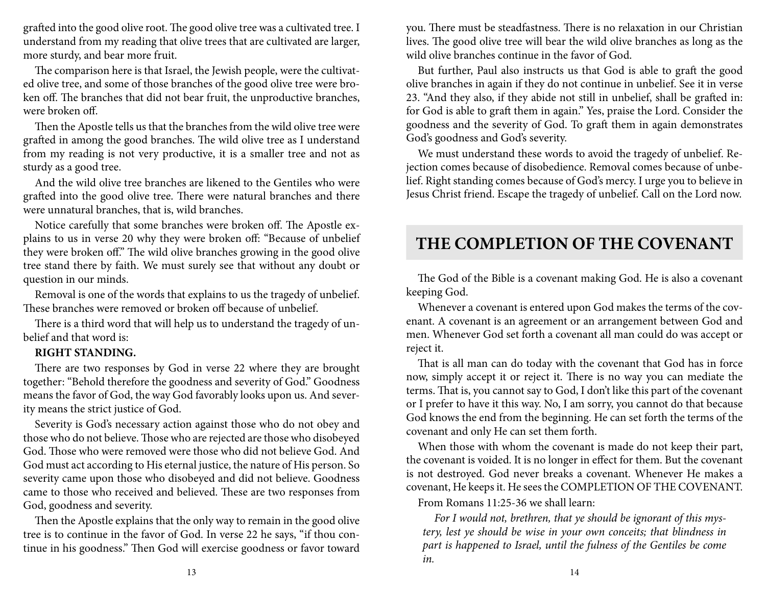grafted into the good olive root. The good olive tree was a cultivated tree. I understand from my reading that olive trees that are cultivated are larger, more sturdy, and bear more fruit.

The comparison here is that Israel, the Jewish people, were the cultivated olive tree, and some of those branches of the good olive tree were broken off. The branches that did not bear fruit, the unproductive branches, were broken off.

Then the Apostle tells us that the branches from the wild olive tree were grafted in among the good branches. The wild olive tree as I understand from my reading is not very productive, it is a smaller tree and not as sturdy as a good tree.

And the wild olive tree branches are likened to the Gentiles who were grafted into the good olive tree. There were natural branches and there were unnatural branches, that is, wild branches.

Notice carefully that some branches were broken off. The Apostle explains to us in verse 20 why they were broken off: "Because of unbelief they were broken off." The wild olive branches growing in the good olive tree stand there by faith. We must surely see that without any doubt or question in our minds.

Removal is one of the words that explains to us the tragedy of unbelief. These branches were removed or broken off because of unbelief.

There is a third word that will help us to understand the tragedy of unbelief and that word is:

### **RIGHT STANDING.**

There are two responses by God in verse 22 where they are brought together: "Behold therefore the goodness and severity of God." Goodness means the favor of God, the way God favorably looks upon us. And severity means the strict justice of God.

Severity is God's necessary action against those who do not obey and those who do not believe. Those who are rejected are those who disobeyed God. Those who were removed were those who did not believe God. And God must act according to His eternal justice, the nature of His person. So severity came upon those who disobeyed and did not believe. Goodness came to those who received and believed. These are two responses from God, goodness and severity.

Then the Apostle explains that the only way to remain in the good olive tree is to continue in the favor of God. In verse 22 he says, "if thou continue in his goodness." Then God will exercise goodness or favor toward

you. There must be steadfastness. There is no relaxation in our Christian lives. The good olive tree will bear the wild olive branches as long as the wild olive branches continue in the favor of God.

But further, Paul also instructs us that God is able to graft the good olive branches in again if they do not continue in unbelief. See it in verse 23. "And they also, if they abide not still in unbelief, shall be grafted in: for God is able to graft them in again." Yes, praise the Lord. Consider the goodness and the severity of God. To graft them in again demonstrates God's goodness and God's severity.

We must understand these words to avoid the tragedy of unbelief. Rejection comes because of disobedience. Removal comes because of unbelief. Right standing comes because of God's mercy. I urge you to believe in Jesus Christ friend. Escape the tragedy of unbelief. Call on the Lord now.

# **THE COMPLETION OF THE COVENANT**

The God of the Bible is a covenant making God. He is also a covenant keeping God.

Whenever a covenant is entered upon God makes the terms of the covenant. A covenant is an agreement or an arrangement between God and men. Whenever God set forth a covenant all man could do was accept or reject it.

That is all man can do today with the covenant that God has in force now, simply accept it or reject it. There is no way you can mediate the terms. That is, you cannot say to God, I don't like this part of the covenant or I prefer to have it this way. No, I am sorry, you cannot do that because God knows the end from the beginning. He can set forth the terms of the covenant and only He can set them forth.

When those with whom the covenant is made do not keep their part, the covenant is voided. It is no longer in effect for them. But the covenant is not destroyed. God never breaks a covenant. Whenever He makes a covenant, He keeps it. He sees the COMPLETION OF THE COVENANT.

From Romans 11:25-36 we shall learn:

*For I would not, brethren, that ye should be ignorant of this mystery, lest ye should be wise in your own conceits; that blindness in part is happened to Israel, until the fulness of the Gentiles be come in.*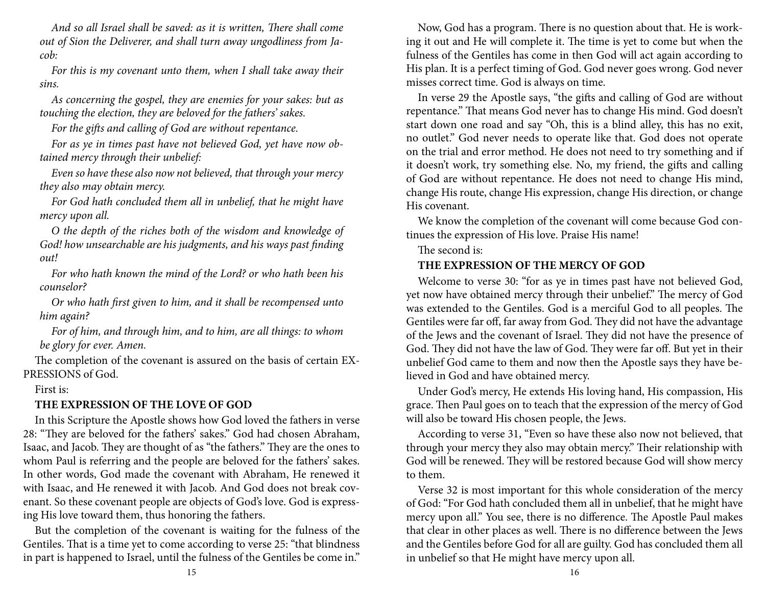*And so all Israel shall be saved: as it is written, There shall come out of Sion the Deliverer, and shall turn away ungodliness from Jacob:*

*For this is my covenant unto them, when I shall take away their sins.*

*As concerning the gospel, they are enemies for your sakes: but as touching the election, they are beloved for the fathers' sakes.*

*For the gifts and calling of God are without repentance.*

*For as ye in times past have not believed God, yet have now obtained mercy through their unbelief:*

*Even so have these also now not believed, that through your mercy they also may obtain mercy.*

*For God hath concluded them all in unbelief, that he might have mercy upon all.*

*O the depth of the riches both of the wisdom and knowledge of God! how unsearchable are his judgments, and his ways past finding out!*

*For who hath known the mind of the Lord? or who hath been his counselor?*

*Or who hath first given to him, and it shall be recompensed unto him again?*

*For of him, and through him, and to him, are all things: to whom be glory for ever. Amen.*

The completion of the covenant is assured on the basis of certain EX-PRESSIONS of God.

## First is:

## **THE EXPRESSION OF THE LOVE OF GOD**

In this Scripture the Apostle shows how God loved the fathers in verse 28: "They are beloved for the fathers' sakes." God had chosen Abraham, Isaac, and Jacob. They are thought of as "the fathers." They are the ones to whom Paul is referring and the people are beloved for the fathers' sakes. In other words, God made the covenant with Abraham, He renewed it with Isaac, and He renewed it with Jacob. And God does not break covenant. So these covenant people are objects of God's love. God is expressing His love toward them, thus honoring the fathers.

But the completion of the covenant is waiting for the fulness of the Gentiles. That is a time yet to come according to verse 25: "that blindness in part is happened to Israel, until the fulness of the Gentiles be come in."

Now, God has a program. There is no question about that. He is working it out and He will complete it. The time is yet to come but when the fulness of the Gentiles has come in then God will act again according to His plan. It is a perfect timing of God. God never goes wrong. God never misses correct time. God is always on time.

In verse 29 the Apostle says, "the gifts and calling of God are without repentance." That means God never has to change His mind. God doesn't start down one road and say "Oh, this is a blind alley, this has no exit, no outlet." God never needs to operate like that. God does not operate on the trial and error method. He does not need to try something and if it doesn't work, try something else. No, my friend, the gifts and calling of God are without repentance. He does not need to change His mind, change His route, change His expression, change His direction, or change His covenant.

We know the completion of the covenant will come because God continues the expression of His love. Praise His name!

The second is:

### **THE EXPRESSION OF THE MERCY OF GOD**

Welcome to verse 30: "for as ye in times past have not believed God, yet now have obtained mercy through their unbelief." The mercy of God was extended to the Gentiles. God is a merciful God to all peoples. The Gentiles were far off, far away from God. They did not have the advantage of the Jews and the covenant of Israel. They did not have the presence of God. They did not have the law of God. They were far off. But yet in their unbelief God came to them and now then the Apostle says they have believed in God and have obtained mercy.

Under God's mercy, He extends His loving hand, His compassion, His grace. Then Paul goes on to teach that the expression of the mercy of God will also be toward His chosen people, the Jews.

According to verse 31, "Even so have these also now not believed, that through your mercy they also may obtain mercy." Their relationship with God will be renewed. They will be restored because God will show mercy to them.

Verse 32 is most important for this whole consideration of the mercy of God: "For God hath concluded them all in unbelief, that he might have mercy upon all." You see, there is no difference. The Apostle Paul makes that clear in other places as well. There is no difference between the Jews and the Gentiles before God for all are guilty. God has concluded them all in unbelief so that He might have mercy upon all.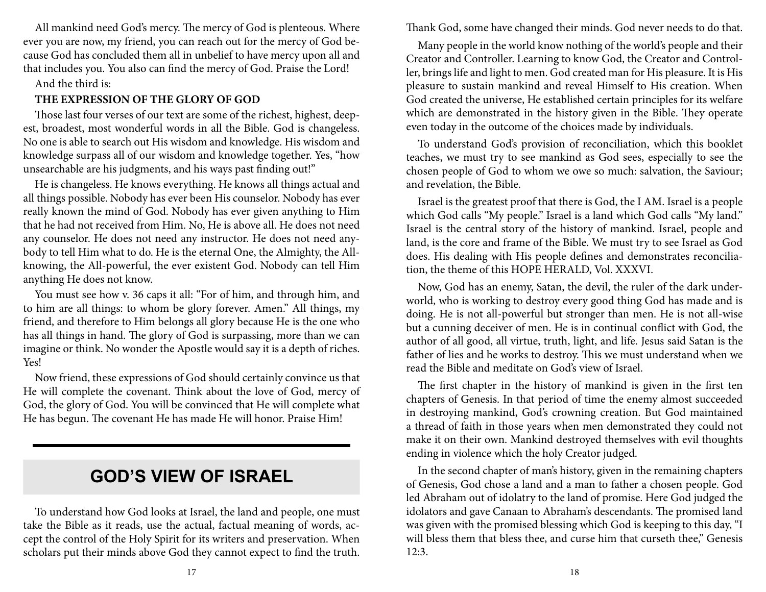All mankind need God's mercy. The mercy of God is plenteous. Where ever you are now, my friend, you can reach out for the mercy of God because God has concluded them all in unbelief to have mercy upon all and that includes you. You also can find the mercy of God. Praise the Lord!

## And the third is:

## **THE EXPRESSION OF THE GLORY OF GOD**

Those last four verses of our text are some of the richest, highest, deepest, broadest, most wonderful words in all the Bible. God is changeless. No one is able to search out His wisdom and knowledge. His wisdom and knowledge surpass all of our wisdom and knowledge together. Yes, "how unsearchable are his judgments, and his ways past finding out!"

He is changeless. He knows everything. He knows all things actual and all things possible. Nobody has ever been His counselor. Nobody has ever really known the mind of God. Nobody has ever given anything to Him that he had not received from Him. No, He is above all. He does not need any counselor. He does not need any instructor. He does not need anybody to tell Him what to do. He is the eternal One, the Almighty, the Allknowing, the All-powerful, the ever existent God. Nobody can tell Him anything He does not know.

You must see how v. 36 caps it all: "For of him, and through him, and to him are all things: to whom be glory forever. Amen." All things, my friend, and therefore to Him belongs all glory because He is the one who has all things in hand. The glory of God is surpassing, more than we can imagine or think. No wonder the Apostle would say it is a depth of riches. Yes!

Now friend, these expressions of God should certainly convince us that He will complete the covenant. Think about the love of God, mercy of God, the glory of God. You will be convinced that He will complete what He has begun. The covenant He has made He will honor. Praise Him!

# **God's View of Israel**

To understand how God looks at Israel, the land and people, one must take the Bible as it reads, use the actual, factual meaning of words, accept the control of the Holy Spirit for its writers and preservation. When scholars put their minds above God they cannot expect to find the truth. Thank God, some have changed their minds. God never needs to do that.

Many people in the world know nothing of the world's people and their Creator and Controller. Learning to know God, the Creator and Controller, brings life and light to men. God created man for His pleasure. It is His pleasure to sustain mankind and reveal Himself to His creation. When God created the universe, He established certain principles for its welfare which are demonstrated in the history given in the Bible. They operate even today in the outcome of the choices made by individuals.

To understand God's provision of reconciliation, which this booklet teaches, we must try to see mankind as God sees, especially to see the chosen people of God to whom we owe so much: salvation, the Saviour; and revelation, the Bible.

Israel is the greatest proof that there is God, the I AM. Israel is a people which God calls "My people." Israel is a land which God calls "My land." Israel is the central story of the history of mankind. Israel, people and land, is the core and frame of the Bible. We must try to see Israel as God does. His dealing with His people defines and demonstrates reconciliation, the theme of this HOPE HERALD, Vol. XXXVI.

Now, God has an enemy, Satan, the devil, the ruler of the dark underworld, who is working to destroy every good thing God has made and is doing. He is not all-powerful but stronger than men. He is not all-wise but a cunning deceiver of men. He is in continual conflict with God, the author of all good, all virtue, truth, light, and life. Jesus said Satan is the father of lies and he works to destroy. This we must understand when we read the Bible and meditate on God's view of Israel.

The first chapter in the history of mankind is given in the first ten chapters of Genesis. In that period of time the enemy almost succeeded in destroying mankind, God's crowning creation. But God maintained a thread of faith in those years when men demonstrated they could not make it on their own. Mankind destroyed themselves with evil thoughts ending in violence which the holy Creator judged.

In the second chapter of man's history, given in the remaining chapters of Genesis, God chose a land and a man to father a chosen people. God led Abraham out of idolatry to the land of promise. Here God judged the idolators and gave Canaan to Abraham's descendants. The promised land was given with the promised blessing which God is keeping to this day, "I will bless them that bless thee, and curse him that curseth thee," Genesis 12:3.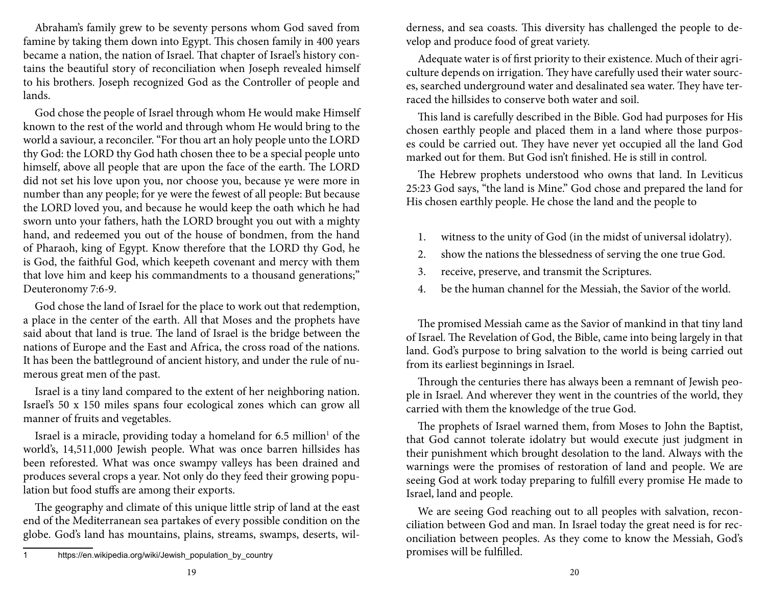Abraham's family grew to be seventy persons whom God saved from famine by taking them down into Egypt. This chosen family in 400 years became a nation, the nation of Israel. That chapter of Israel's history contains the beautiful story of reconciliation when Joseph revealed himself to his brothers. Joseph recognized God as the Controller of people and lands.

God chose the people of Israel through whom He would make Himself known to the rest of the world and through whom He would bring to the world a saviour, a reconciler. "For thou art an holy people unto the LORD thy God: the LORD thy God hath chosen thee to be a special people unto himself, above all people that are upon the face of the earth. The LORD did not set his love upon you, nor choose you, because ye were more in number than any people; for ye were the fewest of all people: But because the LORD loved you, and because he would keep the oath which he had sworn unto your fathers, hath the LORD brought you out with a mighty hand, and redeemed you out of the house of bondmen, from the hand of Pharaoh, king of Egypt. Know therefore that the LORD thy God, he is God, the faithful God, which keepeth covenant and mercy with them that love him and keep his commandments to a thousand generations;" Deuteronomy 7:6-9.

God chose the land of Israel for the place to work out that redemption, a place in the center of the earth. All that Moses and the prophets have said about that land is true. The land of Israel is the bridge between the nations of Europe and the East and Africa, the cross road of the nations. It has been the battleground of ancient history, and under the rule of numerous great men of the past.

Israel is a tiny land compared to the extent of her neighboring nation. Israel's 50 x 150 miles spans four ecological zones which can grow all manner of fruits and vegetables.

Israel is a miracle, providing today a homeland for 6.5 million<sup>1</sup> of the world's, 14,511,000 Jewish people. What was once barren hillsides has been reforested. What was once swampy valleys has been drained and produces several crops a year. Not only do they feed their growing population but food stuffs are among their exports.

The geography and climate of this unique little strip of land at the east end of the Mediterranean sea partakes of every possible condition on the globe. God's land has mountains, plains, streams, swamps, deserts, wilderness, and sea coasts. This diversity has challenged the people to develop and produce food of great variety.

Adequate water is of first priority to their existence. Much of their agriculture depends on irrigation. They have carefully used their water sources, searched underground water and desalinated sea water. They have terraced the hillsides to conserve both water and soil.

This land is carefully described in the Bible. God had purposes for His chosen earthly people and placed them in a land where those purposes could be carried out. They have never yet occupied all the land God marked out for them. But God isn't finished. He is still in control.

The Hebrew prophets understood who owns that land. In Leviticus 25:23 God says, "the land is Mine." God chose and prepared the land for His chosen earthly people. He chose the land and the people to

- 1. witness to the unity of God (in the midst of universal idolatry).
- 2. show the nations the blessedness of serving the one true God.
- 3. receive, preserve, and transmit the Scriptures.
- 4. be the human channel for the Messiah, the Savior of the world.

The promised Messiah came as the Savior of mankind in that tiny land of Israel. The Revelation of God, the Bible, came into being largely in that land. God's purpose to bring salvation to the world is being carried out from its earliest beginnings in Israel.

Through the centuries there has always been a remnant of Jewish people in Israel. And wherever they went in the countries of the world, they carried with them the knowledge of the true God.

The prophets of Israel warned them, from Moses to John the Baptist, that God cannot tolerate idolatry but would execute just judgment in their punishment which brought desolation to the land. Always with the warnings were the promises of restoration of land and people. We are seeing God at work today preparing to fulfill every promise He made to Israel, land and people.

We are seeing God reaching out to all peoples with salvation, reconciliation between God and man. In Israel today the great need is for reconciliation between peoples. As they come to know the Messiah, God's promises will be fulfilled.

<sup>1</sup> https://en.wikipedia.org/wiki/Jewish\_population\_by\_country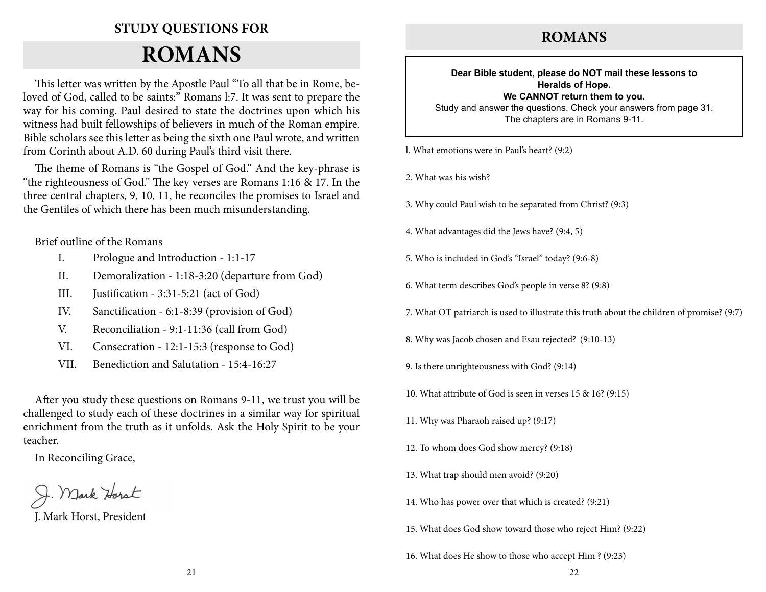# **Study Questions for**

# **Romans**

This letter was written by the Apostle Paul "To all that be in Rome, beloved of God, called to be saints:" Romans l:7. It was sent to prepare the way for his coming. Paul desired to state the doctrines upon which his witness had built fellowships of believers in much of the Roman empire. Bible scholars see this letter as being the sixth one Paul wrote, and written from Corinth about A.D. 60 during Paul's third visit there.

The theme of Romans is "the Gospel of God." And the key-phrase is "the righteousness of God." The key verses are Romans 1:16 & 17. In the three central chapters, 9, 10, 11, he reconciles the promises to Israel and the Gentiles of which there has been much misunderstanding.

Brief outline of the Romans

- I. Prologue and Introduction 1:1-17
- II. Demoralization 1:18-3:20 (departure from God)
- III. Justification 3:31-5:21 (act of God)
- IV. Sanctification 6:1-8:39 (provision of God)
- V. Reconciliation 9:1-11:36 (call from God)
- VI. Consecration 12:1-15:3 (response to God)
- VII. Benediction and Salutation 15:4-16:27

After you study these questions on Romans 9-11, we trust you will be challenged to study each of these doctrines in a similar way for spiritual enrichment from the truth as it unfolds. Ask the Holy Spirit to be your teacher.

In Reconciling Grace,

J. Mark Horst, President

# **ROMANS**

**Dear Bible student, please do NOT mail these lessons to Heralds of Hope. We CANNOT return them to you.**

Study and answer the questions. Check your answers from page 31. The chapters are in Romans 9-11.

l. What emotions were in Paul's heart? (9:2)

2. What was his wish?

3. Why could Paul wish to be separated from Christ? (9:3)

4. What advantages did the Jews have? (9:4, 5)

- 5. Who is included in God's "Israel" today? (9:6-8)
- 6. What term describes God's people in verse 8? (9:8)
- 7. What OT patriarch is used to illustrate this truth about the children of promise? (9:7)
- 8. Why was Jacob chosen and Esau rejected? (9:10-13)
- 9. Is there unrighteousness with God? (9:14)
- 10. What attribute of God is seen in verses 15 & 16? (9:15)
- 11. Why was Pharaoh raised up? (9:17)
- 12. To whom does God show mercy? (9:18)
- 13. What trap should men avoid? (9:20)
- 14. Who has power over that which is created? (9:21)
- 15. What does God show toward those who reject Him? (9:22)

16. What does He show to those who accept Him ? (9:23)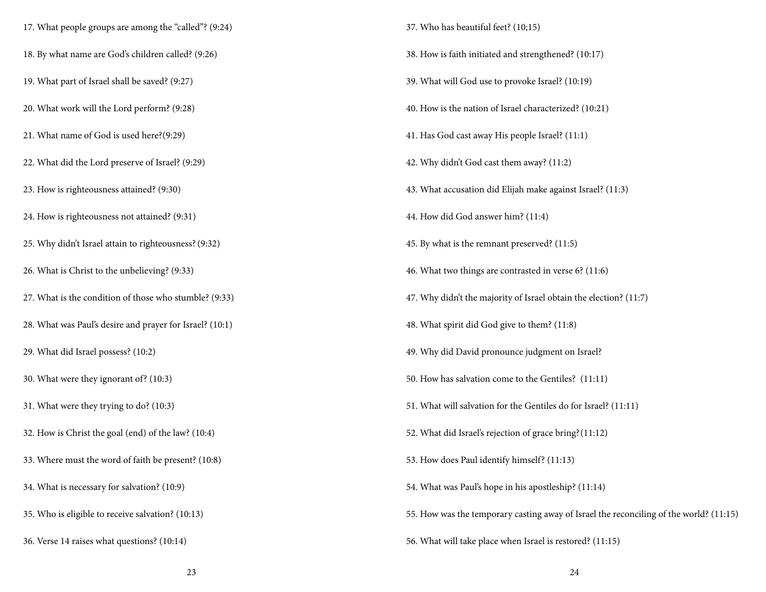17. What people groups are among the "called"? (9:24) 18. By what name are God's children called? (9:26) 19. What part of Israel shall be saved? (9:27) 20. What work will the Lord perform? (9:28) 21. What name of God is used here?(9:29) 22. What did the Lord preserve of Israel? (9:29) 23. How is righteousness attained? (9:30) 24. How is righteousness not attained? (9:31) 25. Why didn't Israel attain to righteousness?(9:32) 26. What is Christ to the unbelieving? (9:33) 27. What is the condition of those who stumble? (9:33) 28. What was Paul's desire and prayer for Israel? (10:1) 29. What did Israel possess? (10:2) 30. What were they ignorant of? (10:3) 31. What were they trying to do? (10:3) 32. How is Christ the goal (end) of the law? (10:4) 33. Where must the word of faith be present? (10:8) 34. What is necessary for salvation? (10:9) 35. Who is eligible to receive salvation? (10:13) 36. Verse 14 raises what questions? (10:14)

37. Who has beautiful feet? (10;15) 38. How is faith initiated and strengthened? (10:17) 39. What will God use to provoke Israel? (10:19) 40. How is the nation of Israel characterized? (10:21) 41. Has God cast away His people Israel? (11:1) 42. Why didn't God cast them away? (11:2) 43. What accusation did Elijah make against Israel? (11:3) 44. How did God answer him? (11:4) 45. By what is the remnant preserved? (11:5) 46. What two things are contrasted in verse 6? (11:6) 47. Why didn't the majority of Israel obtain the election? (11:7) 48. What spirit did God give to them? (11:8) 49. Why did David pronounce judgment on Israel? 50. How has salvation come to the Gentiles? (11:11) 51. What will salvation for the Gentiles do for Israel? (11:11) 52. What did Israel's rejection of grace bring?(11:12) 53. How does Paul identify himself? (11:13) 54. What was Paul's hope in his apostleship? (11:14) 55. How was the temporary casting away of Israel the reconciling of the world? (11:15) 56. What will take place when Israel is restored? (11:15)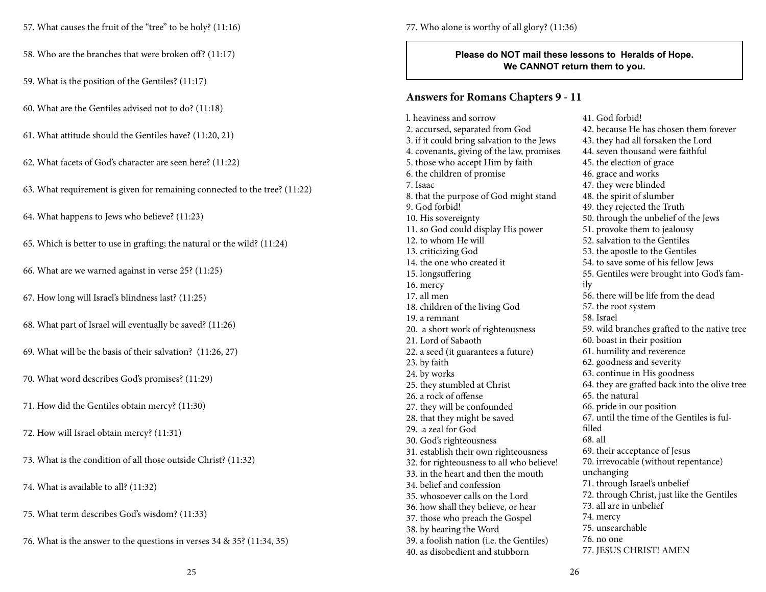57. What causes the fruit of the "tree" to be holy? (11:16)

58. Who are the branches that were broken off? (11:17)

59. What is the position of the Gentiles? (11:17)

60. What are the Gentiles advised not to do? (11:18)

61. What attitude should the Gentiles have? (11:20, 21)

62. What facets of God's character are seen here? (11:22)

63. What requirement is given for remaining connected to the tree? (11:22)

64. What happens to Jews who believe? (11:23)

65. Which is better to use in grafting; the natural or the wild? (11:24)

66. What are we warned against in verse 25? (11:25)

67. How long will Israel's blindness last? (11:25)

68. What part of Israel will eventually be saved? (11:26)

69. What will be the basis of their salvation? (11:26, 27)

70. What word describes God's promises? (11:29)

71. How did the Gentiles obtain mercy? (11:30)

72. How will Israel obtain mercy? (11:31)

73. What is the condition of all those outside Christ? (11:32)

74. What is available to all? (11:32)

75. What term describes God's wisdom? (11:33)

76. What is the answer to the questions in verses 34 & 35? (11:34, 35)

77. Who alone is worthy of all glory? (11:36)

**Please do NOT mail these lessons to Heralds of Hope. We CANNOT return them to you.**

### **Answers for Romans Chapters 9 - 11**

l. heaviness and sorrow 2. accursed, separated from God 3. if it could bring salvation to the Jews 4. covenants, giving of the law, promises 5. those who accept Him by faith 6. the children of promise 7. Isaac 8. that the purpose of God might stand 9. God forbid! 10. His sovereignty 11. so God could display His power 12. to whom He will 13. criticizing God 14. the one who created it 15. longsuffering 16. mercy 17. all men 18. children of the living God 19. a remnant 20. a short work of righteousness 21. Lord of Sabaoth 22. a seed (it guarantees a future) 23. by faith 24. by works 25. they stumbled at Christ 26. a rock of offense 27. they will be confounded 28. that they might be saved 29. a zeal for God 30. God's righteousness 31. establish their own righteousness 32. for righteousness to all who believe! 33. in the heart and then the mouth 34. belief and confession 35. whosoever calls on the Lord 36. how shall they believe, or hear 37. those who preach the Gospel 38. by hearing the Word 39. a foolish nation (i.e. the Gentiles) 40. as disobedient and stubborn

41. God forbid! 42. because He has chosen them forever 43. they had all forsaken the Lord 44. seven thousand were faithful 45. the election of grace 46. grace and works 47. they were blinded 48. the spirit of slumber 49. they rejected the Truth 50. through the unbelief of the Jews 51. provoke them to jealousy 52. salvation to the Gentiles 53. the apostle to the Gentiles 54. to save some of his fellow Jews 55. Gentiles were brought into God's family 56. there will be life from the dead 57. the root system 58. Israel 59. wild branches grafted to the native tree 60. boast in their position 61. humility and reverence 62. goodness and severity 63. continue in His goodness 64. they are grafted back into the olive tree 65. the natural 66. pride in our position 67. until the time of the Gentiles is fulfilled 68. all 69. their acceptance of Jesus 70. irrevocable (without repentance) unchanging 71. through Israel's unbelief 72. through Christ, just like the Gentiles 73. all are in unbelief 74. mercy 75. unsearchable 76. no one 77. JESUS CHRIST! AMEN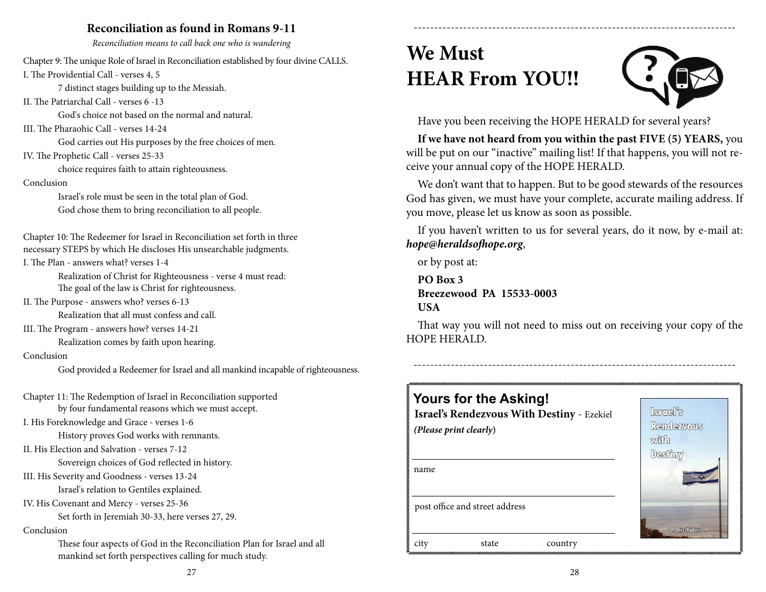# **Reconciliation as found in Romans 9-11**

*Reconciliation means to call back one who is wandering*

Chapter 9: The unique Role of Israel in Reconciliation established by four divine CALLS. I. The Providential Call - verses 4, 5

7 distinct stages building up to the Messiah.

II. The Patriarchal Call - verses 6 -13

God's choice not based on the normal and natural.

III. The Pharaohic Call - verses 14-24

God carries out His purposes by the free choices of men.

IV. The Prophetic Call - verses 25-33

choice requires faith to attain righteousness.

#### Conclusion

Israel's role must be seen in the total plan of God. God chose them to bring reconciliation to all people.

Chapter 10: The Redeemer for Israel in Reconciliation set forth in three necessary STEPS by which He discloses His unsearchable judgments.

I. The Plan - answers what? verses 1-4

Realization of Christ for Righteousness - verse 4 must read: The goal of the law is Christ for righteousness.

II. The Purpose - answers who? verses 6-13

Realization that all must confess and call.

III. The Program - answers how? verses 14-21

Realization comes by faith upon hearing.

### Conclusion

God provided a Redeemer for Israel and all mankind incapable of righteousness.

Chapter 11: The Redemption of Israel in Reconciliation supported by four fundamental reasons which we must accept.

I. His Foreknowledge and Grace - verses 1-6

History proves God works with remnants.

II. His Election and Salvation - verses 7-12

Sovereign choices of God reflected in history.

III. His Severity and Goodness - verses 13-24

Israel's relation to Gentiles explained.

IV. His Covenant and Mercy - verses 25-36

Set forth in Jeremiah 30-33, here verses 27, 29.

#### Conclusion

These four aspects of God in the Reconciliation Plan for Israel and all mankind set forth perspectives calling for much study.

# **We Must HEAR From YOU!!**



Have you been receiving the HOPE HERALD for several years?

**If we have not heard from you within the past FIVE (5) YEARS,** you will be put on our "inactive" mailing list! If that happens, you will not receive your annual copy of the HOPE HERALD.

------------------------------------------------------------------------------

We don't want that to happen. But to be good stewards of the resources God has given, we must have your complete, accurate mailing address. If you move, please let us know as soon as possible.

If you haven't written to us for several years, do it now, by e-mail at: *hope@heraldsofhope.org*,

or by post at:

**PO Box 3 Breezewood PA 15533-0003 USA**

That way you will not need to miss out on receiving your copy of the HOPE HERALD.

------------------------------------------------------------------------------

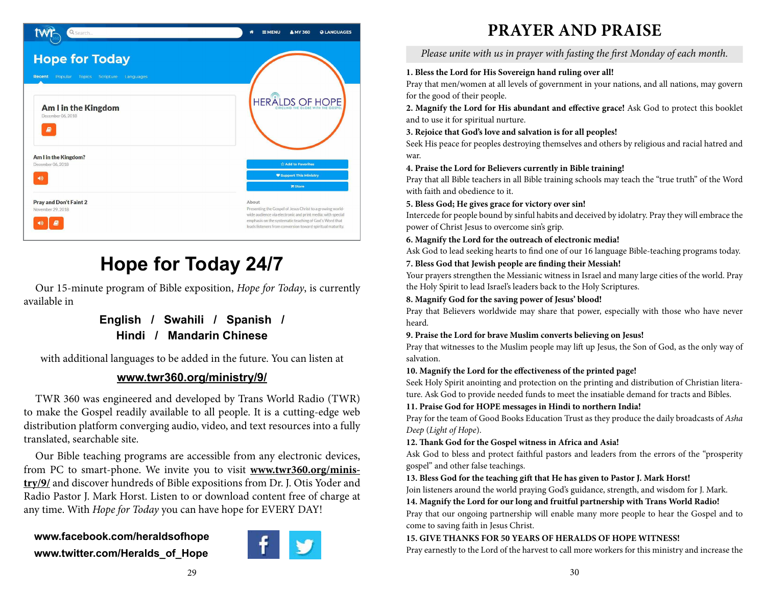

# **Hope for Today 24/7**

Our 15-minute program of Bible exposition, *Hope for Today*, is currently available in

# **English / Swahili / Spanish / Hindi / Mandarin Chinese**

with additional languages to be added in the future. You can listen at

# **www.twr360.org/ministry/9/**

TWR 360 was engineered and developed by Trans World Radio (TWR) to make the Gospel readily available to all people. It is a cutting-edge web distribution platform converging audio, video, and text resources into a fully translated, searchable site.

Our Bible teaching programs are accessible from any electronic devices, from PC to smart-phone. We invite you to visit **www.twr360.org/ministry/9/** and discover hundreds of Bible expositions from Dr. J. Otis Yoder and Radio Pastor J. Mark Horst. Listen to or download content free of charge at any time. With *Hope for Today* you can have hope for EVERY DAY!

# **www.facebook.com/heraldsofhope www.twitter.com/Heralds\_of\_Hope**



# **PRAYER and PRAISE**

*Please unite with us in prayer with fasting the first Monday of each month.*

# **1. Bless the Lord for His Sovereign hand ruling over all!**

Pray that men/women at all levels of government in your nations, and all nations, may govern for the good of their people.

**2. Magnify the Lord for His abundant and effective grace!** Ask God to protect this booklet and to use it for spiritual nurture.

# **3. Rejoice that God's love and salvation is for all peoples!**

Seek His peace for peoples destroying themselves and others by religious and racial hatred and war.

## **4. Praise the Lord for Believers currently in Bible training!**

Pray that all Bible teachers in all Bible training schools may teach the "true truth" of the Word with faith and obedience to it.

## **5. Bless God; He gives grace for victory over sin!**

Intercede for people bound by sinful habits and deceived by idolatry. Pray they will embrace the power of Christ Jesus to overcome sin's grip.

## **6. Magnify the Lord for the outreach of electronic media!**

Ask God to lead seeking hearts to find one of our 16 language Bible-teaching programs today.

## **7. Bless God that Jewish people are finding their Messiah!**

Your prayers strengthen the Messianic witness in Israel and many large cities of the world. Pray the Holy Spirit to lead Israel's leaders back to the Holy Scriptures.

## **8. Magnify God for the saving power of Jesus' blood!**

Pray that Believers worldwide may share that power, especially with those who have never heard.

## **9. Praise the Lord for brave Muslim converts believing on Jesus!**

Pray that witnesses to the Muslim people may lift up Jesus, the Son of God, as the only way of salvation.

## **10. Magnify the Lord for the effectiveness of the printed page!**

Seek Holy Spirit anointing and protection on the printing and distribution of Christian literature. Ask God to provide needed funds to meet the insatiable demand for tracts and Bibles.

## **11. Praise God for HOPE messages in Hindi to northern India!**

Pray for the team of Good Books Education Trust as they produce the daily broadcasts of *Asha Deep* (*Light of Hope*).

## **12. Thank God for the Gospel witness in Africa and Asia!**

Ask God to bless and protect faithful pastors and leaders from the errors of the "prosperity gospel" and other false teachings.

# **13. Bless God for the teaching gift that He has given to Pastor J. Mark Horst!**

Join listeners around the world praying God's guidance, strength, and wisdom for J. Mark.

**14. Magnify the Lord for our long and fruitful partnership with Trans World Radio!**

Pray that our ongoing partnership will enable many more people to hear the Gospel and to come to saving faith in Jesus Christ.

## **15. GIVE THANKS FOR 50 YEARS OF HERALDS OF HOPE WITNESS!**

Pray earnestly to the Lord of the harvest to call more workers for this ministry and increase the